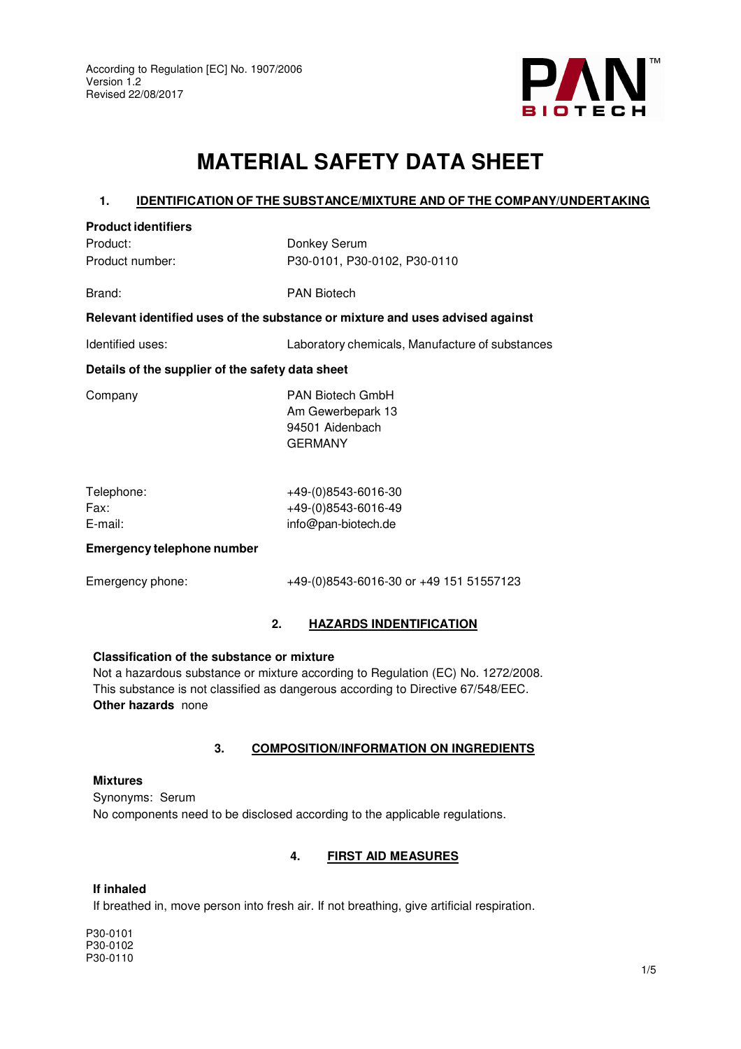

# **MATERIAL SAFETY DATA SHEET**

## **1. IDENTIFICATION OF THE SUBSTANCE/MIXTURE AND OF THE COMPANY/UNDERTAKING**

| <b>Product identifiers</b>                                                    |                                                                                   |  |  |  |
|-------------------------------------------------------------------------------|-----------------------------------------------------------------------------------|--|--|--|
| Product:                                                                      | Donkey Serum                                                                      |  |  |  |
| Product number:                                                               | P30-0101, P30-0102, P30-0110                                                      |  |  |  |
| Brand:                                                                        | <b>PAN Biotech</b>                                                                |  |  |  |
| Relevant identified uses of the substance or mixture and uses advised against |                                                                                   |  |  |  |
| Identified uses:                                                              | Laboratory chemicals, Manufacture of substances                                   |  |  |  |
| Details of the supplier of the safety data sheet                              |                                                                                   |  |  |  |
| Company                                                                       | <b>PAN Biotech GmbH</b><br>Am Gewerbepark 13<br>94501 Aidenbach<br><b>GERMANY</b> |  |  |  |
| Telephone:<br>Fax:<br>E-mail:                                                 | +49-(0)8543-6016-30<br>+49-(0)8543-6016-49<br>info@pan-biotech.de                 |  |  |  |
| <b>Emergency telephone number</b>                                             |                                                                                   |  |  |  |
| Emergency phone:                                                              | +49-(0)8543-6016-30 or +49 151 51557123                                           |  |  |  |

## **2. HAZARDS INDENTIFICATION**

#### **Classification of the substance or mixture**

Not a hazardous substance or mixture according to Regulation (EC) No. 1272/2008. This substance is not classified as dangerous according to Directive 67/548/EEC. **Other hazards** none

#### **3. COMPOSITION/INFORMATION ON INGREDIENTS**

## **Mixtures**  Synonyms: Serum No components need to be disclosed according to the applicable regulations.

## **4. FIRST AID MEASURES**

## **If inhaled**

If breathed in, move person into fresh air. If not breathing, give artificial respiration.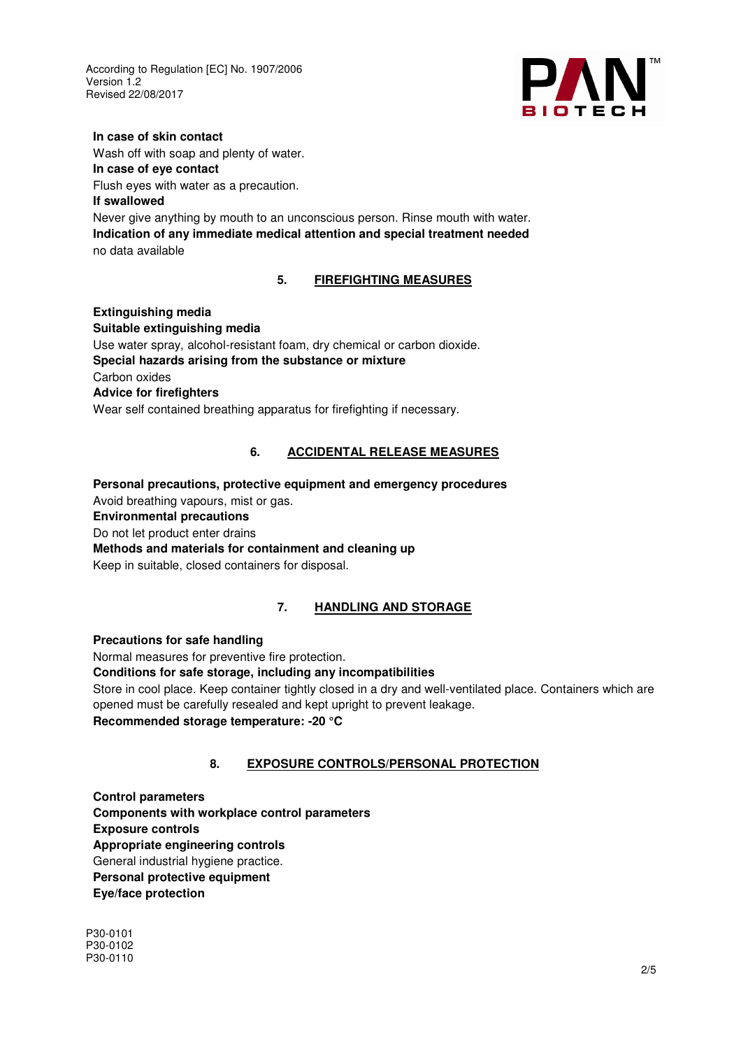

#### **In case of skin contact**

Wash off with soap and plenty of water.

### **In case of eye contact**

Flush eyes with water as a precaution.

## **If swallowed**

Never give anything by mouth to an unconscious person. Rinse mouth with water. **Indication of any immediate medical attention and special treatment needed**  no data available

## **5. FIREFIGHTING MEASURES**

# **Extinguishing media Suitable extinguishing media**  Use water spray, alcohol-resistant foam, dry chemical or carbon dioxide. **Special hazards arising from the substance or mixture**  Carbon oxides **Advice for firefighters**  Wear self contained breathing apparatus for firefighting if necessary.

# **6. ACCIDENTAL RELEASE MEASURES**

**Personal precautions, protective equipment and emergency procedures**  Avoid breathing vapours, mist or gas. **Environmental precautions**  Do not let product enter drains **Methods and materials for containment and cleaning up**  Keep in suitable, closed containers for disposal.

# **7. HANDLING AND STORAGE**

## **Precautions for safe handling**

Normal measures for preventive fire protection. **Conditions for safe storage, including any incompatibilities**  Store in cool place. Keep container tightly closed in a dry and well-ventilated place. Containers which are opened must be carefully resealed and kept upright to prevent leakage. **Recommended storage temperature: -20 °C**

# **8. EXPOSURE CONTROLS/PERSONAL PROTECTION**

**Control parameters Components with workplace control parameters Exposure controls Appropriate engineering controls**  General industrial hygiene practice. **Personal protective equipment Eye/face protection**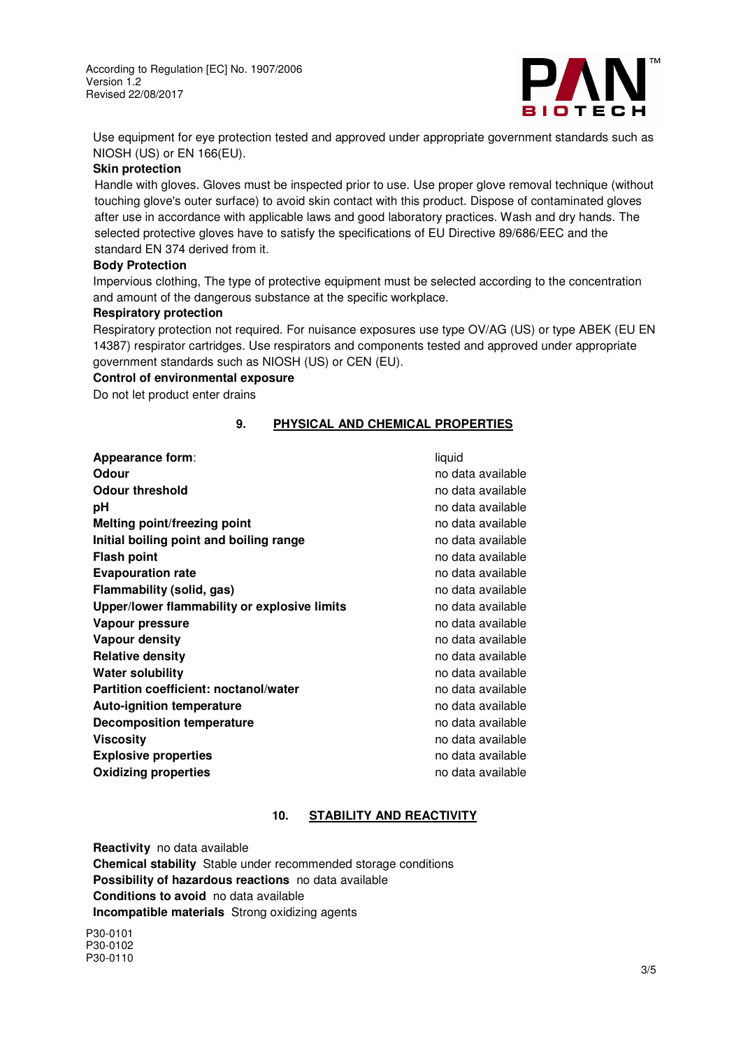

Use equipment for eye protection tested and approved under appropriate government standards such as NIOSH (US) or EN 166(EU).

#### **Skin protection**

Handle with gloves. Gloves must be inspected prior to use. Use proper glove removal technique (without touching glove's outer surface) to avoid skin contact with this product. Dispose of contaminated gloves after use in accordance with applicable laws and good laboratory practices. Wash and dry hands. The selected protective gloves have to satisfy the specifications of EU Directive 89/686/EEC and the standard EN 374 derived from it.

#### **Body Protection**

Impervious clothing, The type of protective equipment must be selected according to the concentration and amount of the dangerous substance at the specific workplace.

#### **Respiratory protection**

Respiratory protection not required. For nuisance exposures use type OV/AG (US) or type ABEK (EU EN 14387) respirator cartridges. Use respirators and components tested and approved under appropriate government standards such as NIOSH (US) or CEN (EU).

#### **Control of environmental exposure**

Do not let product enter drains

#### **9. PHYSICAL AND CHEMICAL PROPERTIES**

**Appearance form:** liquid **Odour Odour no data available odour no data available odour no data available Odour threshold no data available no data available pH pH no data available pH no data available pH no data available Melting point/freezing point** no data available no data available **Initial boiling point and boiling range** no data available **Flash point** no data available no data available **Evapouration rate** no data available no data available **Flammability (solid, gas)** no data available no data available **Upper/lower flammability or explosive limits** no data available **Vapour pressure** no data available **Vapour density** no data available in the set of the set of the set of the set of the set of the set of the set o **Relative density no data available no data available Water solubility Water solubility no data available Partition coefficient: noctanol/water no model is a model of the contract of the partition coefficient:** no data available **Auto-ignition temperature** no data available no data available **Decomposition temperature** no data available **Viscosity no data available no data available no data available no data available Explosive properties no data available** no data available **Oxidizing properties no data available no data available no data available** 

## **10. STABILITY AND REACTIVITY**

**Reactivity** no data available **Chemical stability** Stable under recommended storage conditions **Possibility of hazardous reactions** no data available **Conditions to avoid** no data available **Incompatible materials** Strong oxidizing agents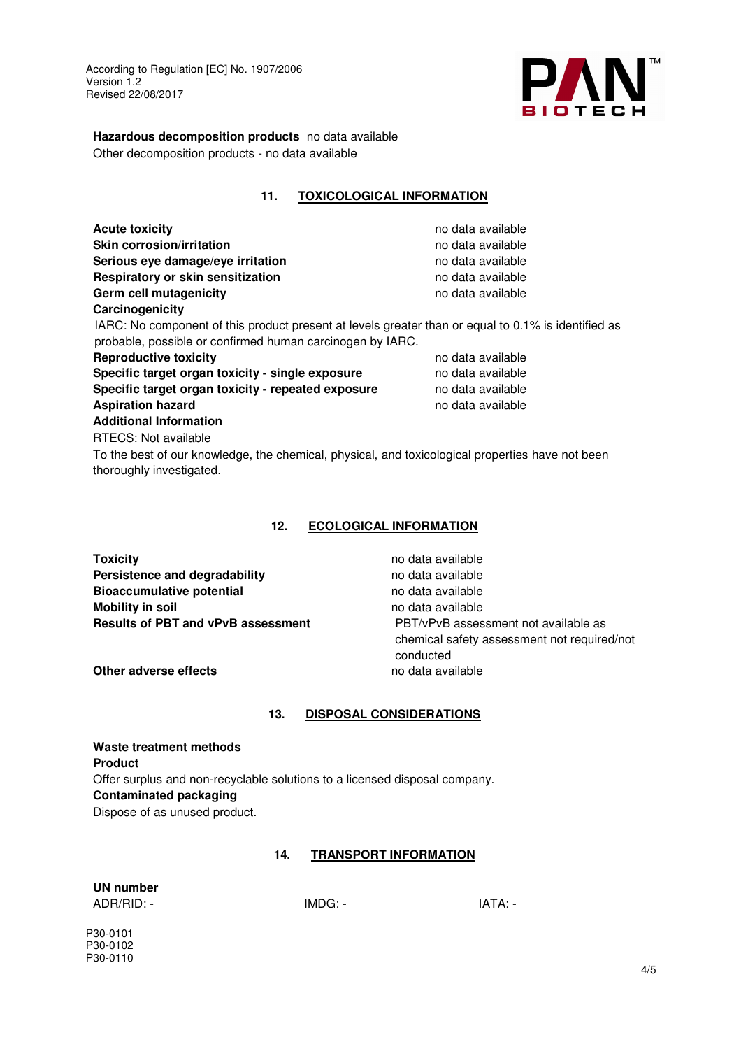

**Hazardous decomposition products** no data available Other decomposition products - no data available

**11. TOXICOLOGICAL INFORMATION**

## **Acute toxicity no data available no data available Skin corrosion/irritation no data available no data available no data available** Serious eye damage/eye irritation **no data available Serious** eye damage/eye irritation **Respiratory or skin sensitization no data available Germ cell mutagenicity no data available no data available Carcinogenicity**

IARC: No component of this product present at levels greater than or equal to 0.1% is identified as probable, possible or confirmed human carcinogen by IARC.

**Reproductive toxicity no data available no data available Specific target organ toxicity - single exposure** no data available **Specific target organ toxicity - repeated exposure** no data available **Aspiration hazard no data available no data available no data available Additional Information** 

RTECS: Not available To the best of our knowledge, the chemical, physical, and toxicological properties have not been thoroughly investigated.

# **12. ECOLOGICAL INFORMATION**

| <b>Toxicity</b>                           | no data available                           |
|-------------------------------------------|---------------------------------------------|
| Persistence and degradability             | no data available                           |
| <b>Bioaccumulative potential</b>          | no data available                           |
| <b>Mobility in soil</b>                   | no data available                           |
| <b>Results of PBT and vPvB assessment</b> | PBT/vPvB assessment not available as        |
|                                           | chemical safety assessment not required/not |
|                                           | conducted                                   |

**Other adverse effects no data available** 

# **13. DISPOSAL CONSIDERATIONS**

**Waste treatment methods Product**  Offer surplus and non-recyclable solutions to a licensed disposal company. **Contaminated packaging**  Dispose of as unused product.

# **14. TRANSPORT INFORMATION**

**UN number** 

ADR/RID: - IMDG: - IMDG: - IATA: -